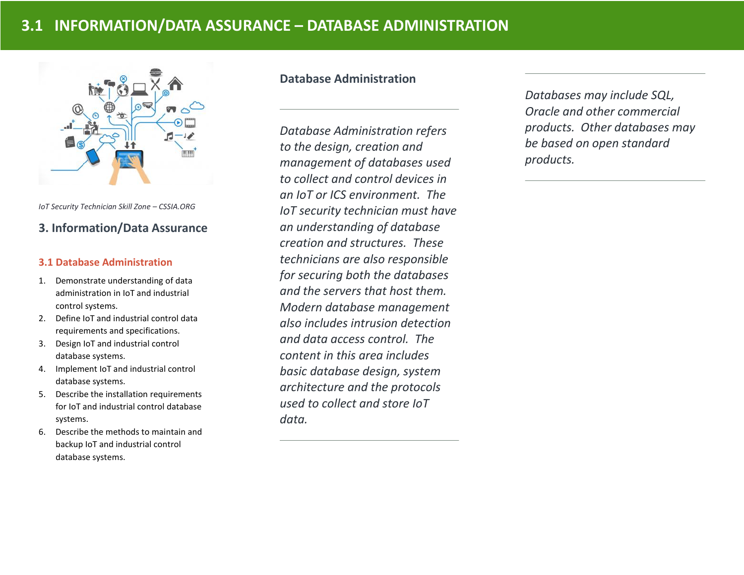

*IoT Security Technician Skill Zone – CSSIA.ORG*

## **3. Information/Data Assurance**

### **3.1 Database Administration**

- 1. Demonstrate understanding of data administration in IoT and industrial control systems.
- 2. Define IoT and industrial control data requirements and specifications.
- 3. Design IoT and industrial control database systems.
- 4. Implement IoT and industrial control database systems.
- 5. Describe the installation requirements for IoT and industrial control database systems.
- 6. Describe the methods to maintain and backup IoT and industrial control database systems.

## **Database Administration**

*Database Administration refers to the design, creation and management of databases used to collect and control devices in an IoT or ICS environment. The IoT security technician must have an understanding of database creation and structures. These technicians are also responsible for securing both the databases and the servers that host them. Modern database management also includes intrusion detection and data access control. The content in this area includes basic database design, system architecture and the protocols used to collect and store IoT data.* 

*Databases may include SQL, Oracle and other commercial products. Other databases may be based on open standard products.*